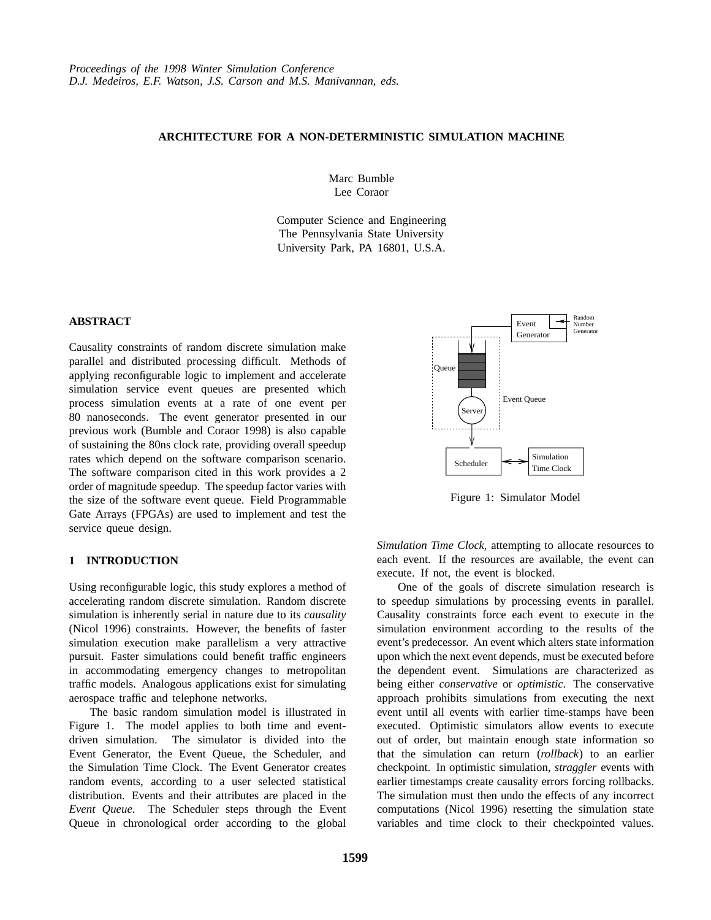# **ARCHITECTURE FOR A NON-DETERMINISTIC SIMULATION MACHINE**

Marc Bumble Lee Coraor

Computer Science and Engineering The Pennsylvania State University University Park, PA 16801, U.S.A.

### **ABSTRACT**

Causality constraints of random discrete simulation make parallel and distributed processing difficult. Methods of applying reconfigurable logic to implement and accelerate simulation service event queues are presented which process simulation events at a rate of one event per 80 nanoseconds. The event generator presented in our previous work (Bumble and Coraor 1998) is also capable of sustaining the 80ns clock rate, providing overall speedup rates which depend on the software comparison scenario. The software comparison cited in this work provides a 2 order of magnitude speedup. The speedup factor varies with the size of the software event queue. Field Programmable Gate Arrays (FPGAs) are used to implement and test the service queue design.

## **1 INTRODUCTION**

Using reconfigurable logic, this study explores a method of accelerating random discrete simulation. Random discrete simulation is inherently serial in nature due to its *causality* (Nicol 1996) constraints. However, the benefits of faster simulation execution make parallelism a very attractive pursuit. Faster simulations could benefit traffic engineers in accommodating emergency changes to metropolitan traffic models. Analogous applications exist for simulating aerospace traffic and telephone networks.

The basic random simulation model is illustrated in Figure 1. The model applies to both time and eventdriven simulation. The simulator is divided into the Event Generator, the Event Queue, the Scheduler, and the Simulation Time Clock. The Event Generator creates random events, according to a user selected statistical distribution. Events and their attributes are placed in the *Event Queue*. The Scheduler steps through the Event Queue in chronological order according to the global



Figure 1: Simulator Model

*Simulation Time Clock*, attempting to allocate resources to each event. If the resources are available, the event can execute. If not, the event is blocked.

One of the goals of discrete simulation research is to speedup simulations by processing events in parallel. Causality constraints force each event to execute in the simulation environment according to the results of the event's predecessor. An event which alters state information upon which the next event depends, must be executed before the dependent event. Simulations are characterized as being either *conservative* or *optimistic*. The conservative approach prohibits simulations from executing the next event until all events with earlier time-stamps have been executed. Optimistic simulators allow events to execute out of order, but maintain enough state information so that the simulation can return (*rollback*) to an earlier checkpoint. In optimistic simulation, *straggler* events with earlier timestamps create causality errors forcing rollbacks. The simulation must then undo the effects of any incorrect computations (Nicol 1996) resetting the simulation state variables and time clock to their checkpointed values.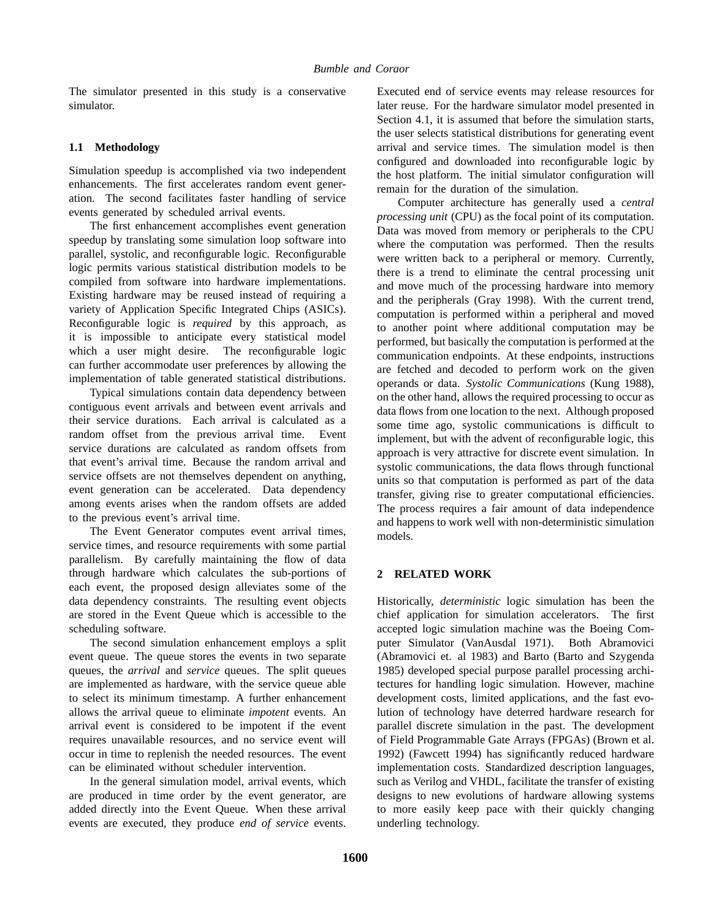The simulator presented in this study is a conservative simulator.

## **1.1 Methodology**

Simulation speedup is accomplished via two independent enhancements. The first accelerates random event generation. The second facilitates faster handling of service events generated by scheduled arrival events.

The first enhancement accomplishes event generation speedup by translating some simulation loop software into parallel, systolic, and reconfigurable logic. Reconfigurable logic permits various statistical distribution models to be compiled from software into hardware implementations. Existing hardware may be reused instead of requiring a variety of Application Specific Integrated Chips (ASICs). Reconfigurable logic is *required* by this approach, as it is impossible to anticipate every statistical model which a user might desire. The reconfigurable logic can further accommodate user preferences by allowing the implementation of table generated statistical distributions.

Typical simulations contain data dependency between contiguous event arrivals and between event arrivals and their service durations. Each arrival is calculated as a random offset from the previous arrival time. Event service durations are calculated as random offsets from that event's arrival time. Because the random arrival and service offsets are not themselves dependent on anything, event generation can be accelerated. Data dependency among events arises when the random offsets are added to the previous event's arrival time.

The Event Generator computes event arrival times, service times, and resource requirements with some partial parallelism. By carefully maintaining the flow of data through hardware which calculates the sub-portions of each event, the proposed design alleviates some of the data dependency constraints. The resulting event objects are stored in the Event Queue which is accessible to the scheduling software.

The second simulation enhancement employs a split event queue. The queue stores the events in two separate queues, the *arrival* and *service* queues. The split queues are implemented as hardware, with the service queue able to select its minimum timestamp. A further enhancement allows the arrival queue to eliminate *impotent* events. An arrival event is considered to be impotent if the event requires unavailable resources, and no service event will occur in time to replenish the needed resources. The event can be eliminated without scheduler intervention.

In the general simulation model, arrival events, which are produced in time order by the event generator, are added directly into the Event Queue. When these arrival events are executed, they produce *end of service* events.

Executed end of service events may release resources for later reuse. For the hardware simulator model presented in Section 4.1, it is assumed that before the simulation starts, the user selects statistical distributions for generating event arrival and service times. The simulation model is then configured and downloaded into reconfigurable logic by the host platform. The initial simulator configuration will remain for the duration of the simulation.

Computer architecture has generally used a *central processing unit* (CPU) as the focal point of its computation. Data was moved from memory or peripherals to the CPU where the computation was performed. Then the results were written back to a peripheral or memory. Currently, there is a trend to eliminate the central processing unit and move much of the processing hardware into memory and the peripherals (Gray 1998). With the current trend, computation is performed within a peripheral and moved to another point where additional computation may be performed, but basically the computation is performed at the communication endpoints. At these endpoints, instructions are fetched and decoded to perform work on the given operands or data. *Systolic Communications* (Kung 1988), on the other hand, allows the required processing to occur as data flows from one location to the next. Although proposed some time ago, systolic communications is difficult to implement, but with the advent of reconfigurable logic, this approach is very attractive for discrete event simulation. In systolic communications, the data flows through functional units so that computation is performed as part of the data transfer, giving rise to greater computational efficiencies. The process requires a fair amount of data independence and happens to work well with non-deterministic simulation models.

# **2 RELATED WORK**

Historically, *deterministic* logic simulation has been the chief application for simulation accelerators. The first accepted logic simulation machine was the Boeing Computer Simulator (VanAusdal 1971). Both Abramovici (Abramovici et. al 1983) and Barto (Barto and Szygenda 1985) developed special purpose parallel processing architectures for handling logic simulation. However, machine development costs, limited applications, and the fast evolution of technology have deterred hardware research for parallel discrete simulation in the past. The development of Field Programmable Gate Arrays (FPGAs) (Brown et al. 1992) (Fawcett 1994) has significantly reduced hardware implementation costs. Standardized description languages, such as Verilog and VHDL, facilitate the transfer of existing designs to new evolutions of hardware allowing systems to more easily keep pace with their quickly changing underling technology.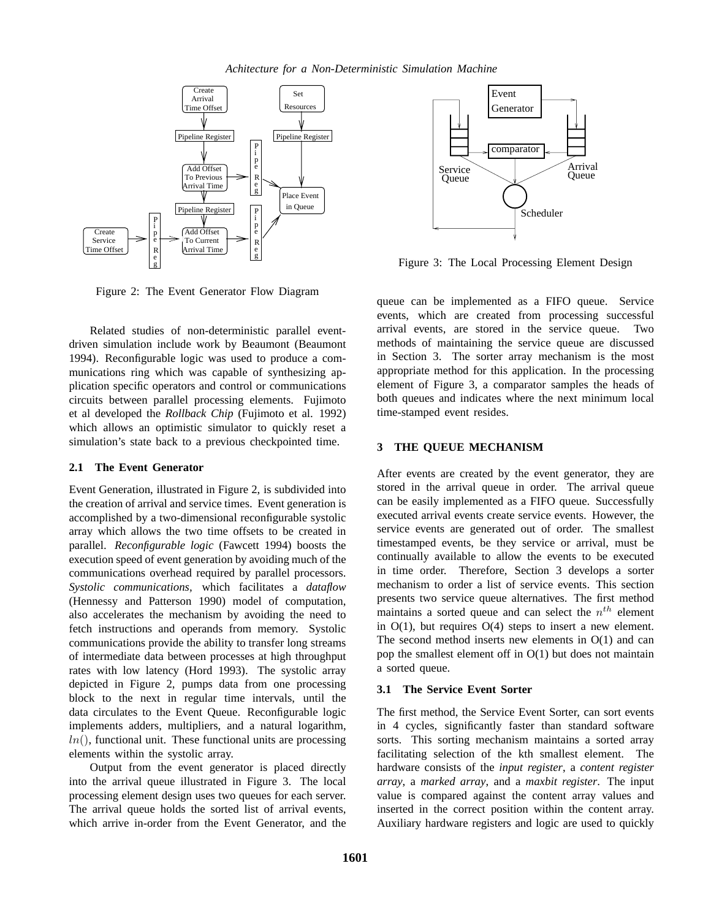

Figure 2: The Event Generator Flow Diagram

Related studies of non-deterministic parallel eventdriven simulation include work by Beaumont (Beaumont 1994). Reconfigurable logic was used to produce a communications ring which was capable of synthesizing application specific operators and control or communications circuits between parallel processing elements. Fujimoto et al developed the *Rollback Chip* (Fujimoto et al. 1992) which allows an optimistic simulator to quickly reset a simulation's state back to a previous checkpointed time.

## **2.1 The Event Generator**

Event Generation, illustrated in Figure 2, is subdivided into the creation of arrival and service times. Event generation is accomplished by a two-dimensional reconfigurable systolic array which allows the two time offsets to be created in parallel. *Reconfigurable logic* (Fawcett 1994) boosts the execution speed of event generation by avoiding much of the communications overhead required by parallel processors. *Systolic communications,* which facilitates a *dataflow* (Hennessy and Patterson 1990) model of computation, also accelerates the mechanism by avoiding the need to fetch instructions and operands from memory. Systolic communications provide the ability to transfer long streams of intermediate data between processes at high throughput rates with low latency (Hord 1993). The systolic array depicted in Figure 2, pumps data from one processing block to the next in regular time intervals, until the data circulates to the Event Queue. Reconfigurable logic implements adders, multipliers, and a natural logarithm,  $ln($ ), functional unit. These functional units are processing elements within the systolic array.

Output from the event generator is placed directly into the arrival queue illustrated in Figure 3. The local processing element design uses two queues for each server. The arrival queue holds the sorted list of arrival events, which arrive in-order from the Event Generator, and the



Figure 3: The Local Processing Element Design

queue can be implemented as a FIFO queue. Service events, which are created from processing successful arrival events, are stored in the service queue. Two methods of maintaining the service queue are discussed in Section 3. The sorter array mechanism is the most appropriate method for this application. In the processing element of Figure 3, a comparator samples the heads of both queues and indicates where the next minimum local time-stamped event resides.

# **3 THE QUEUE MECHANISM**

After events are created by the event generator, they are stored in the arrival queue in order. The arrival queue can be easily implemented as a FIFO queue. Successfully executed arrival events create service events. However, the service events are generated out of order. The smallest timestamped events, be they service or arrival, must be continually available to allow the events to be executed in time order. Therefore, Section 3 develops a sorter mechanism to order a list of service events. This section presents two service queue alternatives. The first method maintains a sorted queue and can select the  $n<sup>th</sup>$  element in  $O(1)$ , but requires  $O(4)$  steps to insert a new element. The second method inserts new elements in O(1) and can pop the smallest element off in  $O(1)$  but does not maintain a sorted queue.

# **3.1 The Service Event Sorter**

The first method, the Service Event Sorter, can sort events in 4 cycles, significantly faster than standard software sorts. This sorting mechanism maintains a sorted array facilitating selection of the kth smallest element. The hardware consists of the *input register*, a *content register array*, a *marked array*, and a *maxbit register*. The input value is compared against the content array values and inserted in the correct position within the content array. Auxiliary hardware registers and logic are used to quickly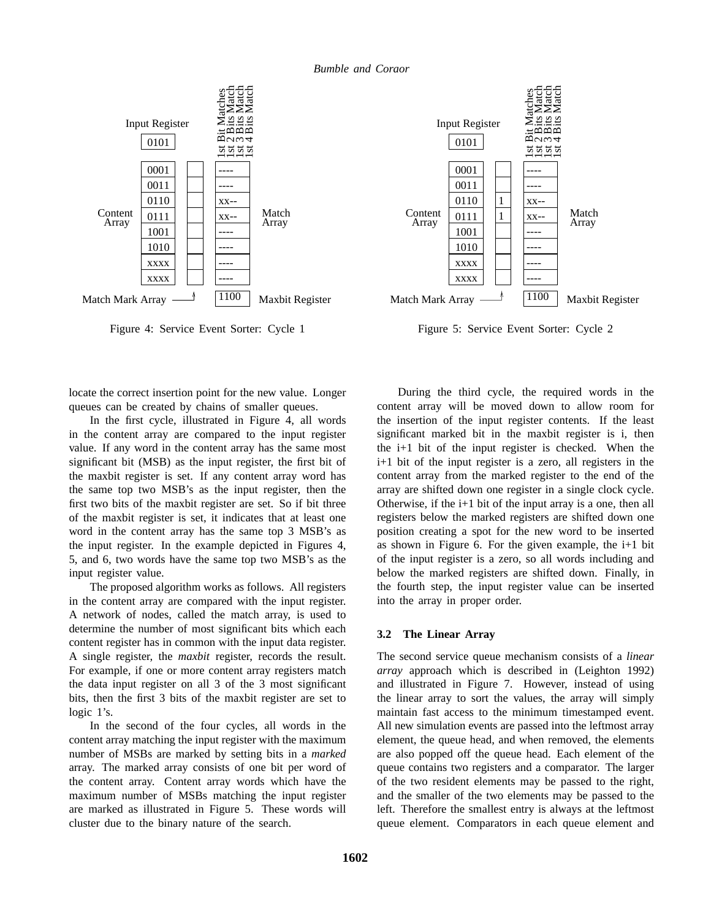

Figure 4: Service Event Sorter: Cycle 1



Figure 5: Service Event Sorter: Cycle 2

locate the correct insertion point for the new value. Longer queues can be created by chains of smaller queues.

In the first cycle, illustrated in Figure 4, all words in the content array are compared to the input register value. If any word in the content array has the same most significant bit (MSB) as the input register, the first bit of the maxbit register is set. If any content array word has the same top two MSB's as the input register, then the first two bits of the maxbit register are set. So if bit three of the maxbit register is set, it indicates that at least one word in the content array has the same top 3 MSB's as the input register. In the example depicted in Figures 4, 5, and 6, two words have the same top two MSB's as the input register value.

The proposed algorithm works as follows. All registers in the content array are compared with the input register. A network of nodes, called the match array, is used to determine the number of most significant bits which each content register has in common with the input data register. A single register, the *maxbit* register, records the result. For example, if one or more content array registers match the data input register on all 3 of the 3 most significant bits, then the first 3 bits of the maxbit register are set to logic 1's.

In the second of the four cycles, all words in the content array matching the input register with the maximum number of MSBs are marked by setting bits in a *marked* array. The marked array consists of one bit per word of the content array. Content array words which have the maximum number of MSBs matching the input register are marked as illustrated in Figure 5. These words will cluster due to the binary nature of the search.

During the third cycle, the required words in the content array will be moved down to allow room for the insertion of the input register contents. If the least significant marked bit in the maxbit register is i, then the i+1 bit of the input register is checked. When the i+1 bit of the input register is a zero, all registers in the content array from the marked register to the end of the array are shifted down one register in a single clock cycle. Otherwise, if the  $i+1$  bit of the input array is a one, then all registers below the marked registers are shifted down one position creating a spot for the new word to be inserted as shown in Figure 6. For the given example, the i+1 bit of the input register is a zero, so all words including and below the marked registers are shifted down. Finally, in the fourth step, the input register value can be inserted into the array in proper order.

## **3.2 The Linear Array**

The second service queue mechanism consists of a *linear array* approach which is described in (Leighton 1992) and illustrated in Figure 7. However, instead of using the linear array to sort the values, the array will simply maintain fast access to the minimum timestamped event. All new simulation events are passed into the leftmost array element, the queue head, and when removed, the elements are also popped off the queue head. Each element of the queue contains two registers and a comparator. The larger of the two resident elements may be passed to the right, and the smaller of the two elements may be passed to the left. Therefore the smallest entry is always at the leftmost queue element. Comparators in each queue element and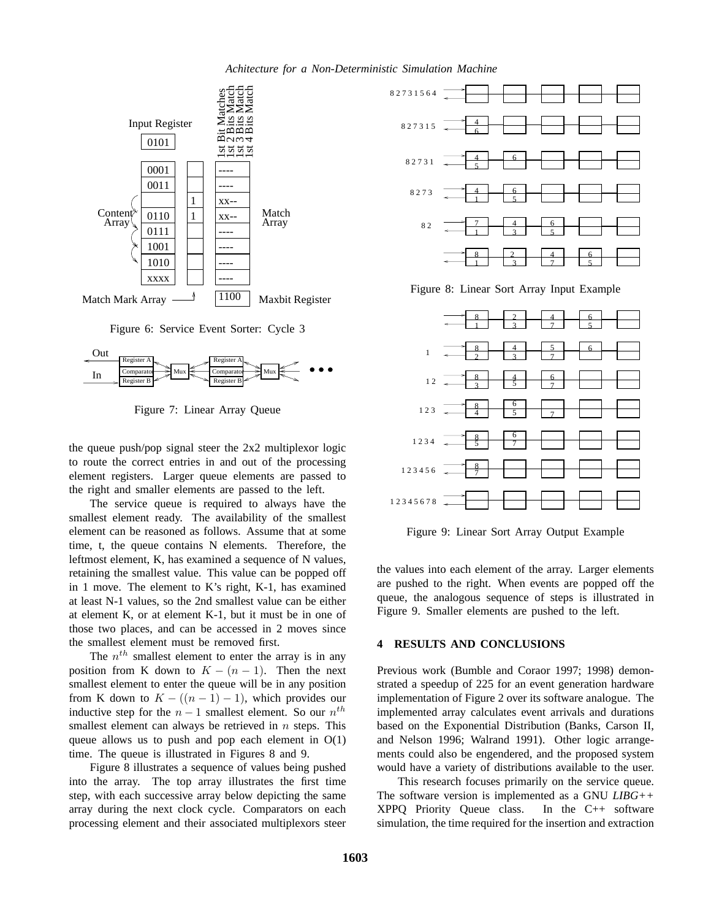

Figure 6: Service Event Sorter: Cycle 3



Figure 7: Linear Array Queue

the queue push/pop signal steer the 2x2 multiplexor logic to route the correct entries in and out of the processing element registers. Larger queue elements are passed to the right and smaller elements are passed to the left.

The service queue is required to always have the smallest element ready. The availability of the smallest element can be reasoned as follows. Assume that at some time, t, the queue contains N elements. Therefore, the leftmost element, K, has examined a sequence of N values, retaining the smallest value. This value can be popped off in 1 move. The element to K's right, K-1, has examined at least N-1 values, so the 2nd smallest value can be either at element K, or at element K-1, but it must be in one of those two places, and can be accessed in 2 moves since the smallest element must be removed first.

The  $n<sup>th</sup>$  smallest element to enter the array is in any position from K down to  $K - (n - 1)$ . Then the next smallest element to enter the queue will be in any position from K down to  $K - ((n - 1) - 1)$ , which provides our inductive step for the  $n-1$  smallest element. So our  $n^{th}$ smallest element can always be retrieved in  $n$  steps. This queue allows us to push and pop each element in  $O(1)$ time. The queue is illustrated in Figures 8 and 9.

Figure 8 illustrates a sequence of values being pushed into the array. The top array illustrates the first time step, with each successive array below depicting the same array during the next clock cycle. Comparators on each processing element and their associated multiplexors steer



Figure 8: Linear Sort Array Input Example



Figure 9: Linear Sort Array Output Example

the values into each element of the array. Larger elements are pushed to the right. When events are popped off the queue, the analogous sequence of steps is illustrated in Figure 9. Smaller elements are pushed to the left.

### **4 RESULTS AND CONCLUSIONS**

Previous work (Bumble and Coraor 1997; 1998) demonstrated a speedup of 225 for an event generation hardware implementation of Figure 2 over its software analogue. The implemented array calculates event arrivals and durations based on the Exponential Distribution (Banks, Carson II, and Nelson 1996; Walrand 1991). Other logic arrangements could also be engendered, and the proposed system would have a variety of distributions available to the user.

This research focuses primarily on the service queue. The software version is implemented as a GNU *LIBG++* XPPQ Priority Queue class. In the C++ software simulation, the time required for the insertion and extraction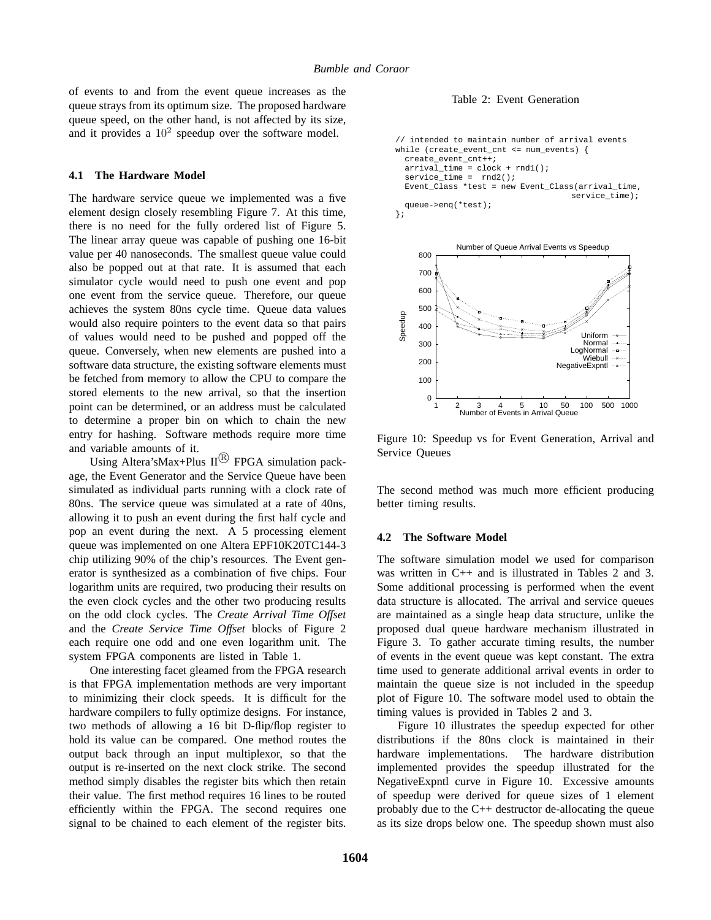of events to and from the event queue increases as the queue strays from its optimum size. The proposed hardware queue speed, on the other hand, is not affected by its size, and it provides a  $10^2$  speedup over the software model.

#### **4.1 The Hardware Model**

The hardware service queue we implemented was a five element design closely resembling Figure 7. At this time, there is no need for the fully ordered list of Figure 5. The linear array queue was capable of pushing one 16-bit value per 40 nanoseconds. The smallest queue value could also be popped out at that rate. It is assumed that each simulator cycle would need to push one event and pop one event from the service queue. Therefore, our queue achieves the system 80ns cycle time. Queue data values would also require pointers to the event data so that pairs of values would need to be pushed and popped off the queue. Conversely, when new elements are pushed into a software data structure, the existing software elements must be fetched from memory to allow the CPU to compare the stored elements to the new arrival, so that the insertion point can be determined, or an address must be calculated to determine a proper bin on which to chain the new entry for hashing. Software methods require more time and variable amounts of it.

Using Altera's Max+Plus  $II^{(R)}$  FPGA simulation package, the Event Generator and the Service Queue have been simulated as individual parts running with a clock rate of 80ns. The service queue was simulated at a rate of 40ns, allowing it to push an event during the first half cycle and pop an event during the next. A 5 processing element queue was implemented on one Altera EPF10K20TC144-3 chip utilizing 90% of the chip's resources. The Event generator is synthesized as a combination of five chips. Four logarithm units are required, two producing their results on the even clock cycles and the other two producing results on the odd clock cycles. The *Create Arrival Time Offset* and the *Create Service Time Offset* blocks of Figure 2 each require one odd and one even logarithm unit. The system FPGA components are listed in Table 1.

One interesting facet gleamed from the FPGA research is that FPGA implementation methods are very important to minimizing their clock speeds. It is difficult for the hardware compilers to fully optimize designs. For instance, two methods of allowing a 16 bit D-flip/flop register to hold its value can be compared. One method routes the output back through an input multiplexor, so that the output is re-inserted on the next clock strike. The second method simply disables the register bits which then retain their value. The first method requires 16 lines to be routed efficiently within the FPGA. The second requires one signal to be chained to each element of the register bits.

Table 2: Event Generation

```
// intended to maintain number of arrival events
while (create_event_cnt <= num_events) {
 create_event_cnt++;
 arrival_time = clock + rnd1();
 service time = rnd2();
 Event_Class *test = new Event_Class(arrival_time,
                                     service time);
 queue->enq(*test);
};
```


Figure 10: Speedup vs for Event Generation, Arrival and Service Queues

The second method was much more efficient producing better timing results.

### **4.2 The Software Model**

The software simulation model we used for comparison was written in C++ and is illustrated in Tables 2 and 3. Some additional processing is performed when the event data structure is allocated. The arrival and service queues are maintained as a single heap data structure, unlike the proposed dual queue hardware mechanism illustrated in Figure 3. To gather accurate timing results, the number of events in the event queue was kept constant. The extra time used to generate additional arrival events in order to maintain the queue size is not included in the speedup plot of Figure 10. The software model used to obtain the timing values is provided in Tables 2 and 3.

Figure 10 illustrates the speedup expected for other distributions if the 80ns clock is maintained in their hardware implementations. The hardware distribution implemented provides the speedup illustrated for the NegativeExpntl curve in Figure 10. Excessive amounts of speedup were derived for queue sizes of 1 element probably due to the C++ destructor de-allocating the queue as its size drops below one. The speedup shown must also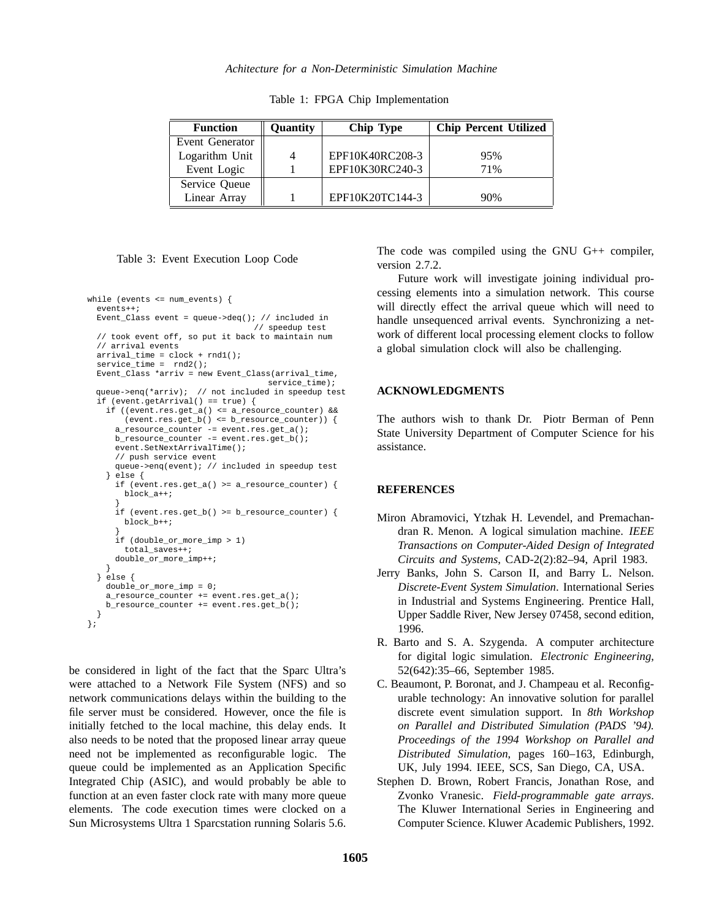Table 1: FPGA Chip Implementation

| <b>Function</b> | Quantity | <b>Chip Type</b> | <b>Chip Percent Utilized</b> |
|-----------------|----------|------------------|------------------------------|
| Event Generator |          |                  |                              |
| Logarithm Unit  | 4        | EPF10K40RC208-3  | 95%                          |
| Event Logic     |          | EPF10K30RC240-3  | 71%                          |
| Service Queue   |          |                  |                              |
| Linear Array    |          | EPF10K20TC144-3  | 90%                          |

#### Table 3: Event Execution Loop Code

```
while (events <= num_events) {
 events++;
 Event_Class event = queue->deq(); // included in
                                  // speedup test
  // took event off, so put it back to maintain num
 // arrival events
 arrival_time = clock + rnd1();
 service time = rnd2();
 Event_Class *arriv = new Event_Class(arrival_time,
                                     service_time);
 queue->enq(*arriv); // not included in speedup test
 if (event.getArrival() == true) {
   if ((event.res.get a() <= a resource counter) &&
       (event.res.get_b() <= b_resource_counter)) {
     a_resource_counter -= event.res.get_a();
     b_resource_counter -= event.res.get_b();
     event.SetNextArrivalTime();
     // push service event
     queue->enq(event); // included in speedup test
   } else {
     if (event.res.get_a() >= a_resource_counter) {
       block_a++;
      }
     if (event.res.get_b() >= b_resource_counter) {
       block_b++;
      }
     if (double_or_more_imp > 1)
       total_saves++;
     double_or_more_imp++;
   }
 } else {
   double or more imp = 0;
   a_resource_counter += event.res.get_a();
   b_resource_counter += event.res.get_b();
  }
};
```
be considered in light of the fact that the Sparc Ultra's were attached to a Network File System (NFS) and so network communications delays within the building to the file server must be considered. However, once the file is initially fetched to the local machine, this delay ends. It also needs to be noted that the proposed linear array queue need not be implemented as reconfigurable logic. The queue could be implemented as an Application Specific Integrated Chip (ASIC), and would probably be able to function at an even faster clock rate with many more queue elements. The code execution times were clocked on a Sun Microsystems Ultra 1 Sparcstation running Solaris 5.6.

The code was compiled using the GNU G++ compiler, version 2.7.2.

Future work will investigate joining individual processing elements into a simulation network. This course will directly effect the arrival queue which will need to handle unsequenced arrival events. Synchronizing a network of different local processing element clocks to follow a global simulation clock will also be challenging.

### **ACKNOWLEDGMENTS**

The authors wish to thank Dr. Piotr Berman of Penn State University Department of Computer Science for his assistance.

### **REFERENCES**

- Miron Abramovici, Ytzhak H. Levendel, and Premachandran R. Menon. A logical simulation machine. *IEEE Transactions on Computer-Aided Design of Integrated Circuits and Systems*, CAD-2(2):82–94, April 1983.
- Jerry Banks, John S. Carson II, and Barry L. Nelson. *Discrete-Event System Simulation*. International Series in Industrial and Systems Engineering. Prentice Hall, Upper Saddle River, New Jersey 07458, second edition, 1996.
- R. Barto and S. A. Szygenda. A computer architecture for digital logic simulation. *Electronic Engineering*, 52(642):35–66, September 1985.
- C. Beaumont, P. Boronat, and J. Champeau et al. Reconfigurable technology: An innovative solution for parallel discrete event simulation support. In *8th Workshop on Parallel and Distributed Simulation (PADS '94). Proceedings of the 1994 Workshop on Parallel and Distributed Simulation*, pages 160–163, Edinburgh, UK, July 1994. IEEE, SCS, San Diego, CA, USA.
- Stephen D. Brown, Robert Francis, Jonathan Rose, and Zvonko Vranesic. *Field-programmable gate arrays*. The Kluwer International Series in Engineering and Computer Science. Kluwer Academic Publishers, 1992.